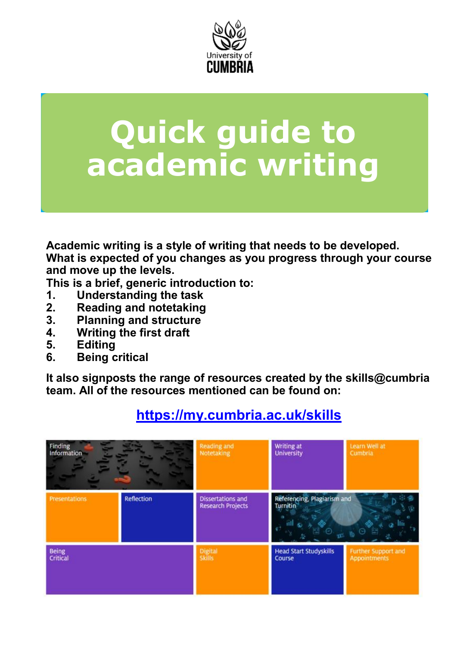

# **Quick guide to academic writing**

**Academic writing is a style of writing that needs to be developed. What is expected of you changes as you progress through your course and move up the levels.** 

**This is a brief, generic introduction to:**

- **1. Understanding the task**
- **2. Reading and notetaking**
- **3. Planning and structure**
- **4. Writing the first draft**
- **5. Editing**
- **6. Being critical**

**It also signposts the range of resources created by the skills@cumbria team. All of the resources mentioned can be found on:**



#### **<https://my.cumbria.ac.uk/skills>**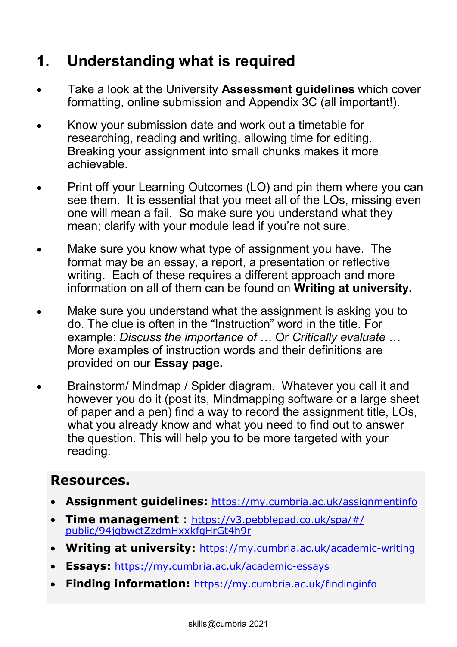## **1. Understanding what is required**

- Take a look at the University **Assessment guidelines** which cover formatting, online submission and Appendix 3C (all important!).
- Know your submission date and work out a timetable for researching, reading and writing, allowing time for editing. Breaking your assignment into small chunks makes it more achievable.
- Print off your Learning Outcomes (LO) and pin them where you can see them. It is essential that you meet all of the LOs, missing even one will mean a fail. So make sure you understand what they mean; clarify with your module lead if you're not sure.
- Make sure you know what type of assignment you have. The format may be an essay, a report, a presentation or reflective writing. Each of these requires a different approach and more information on all of them can be found on **Writing at university.**
- Make sure you understand what the assignment is asking you to do. The clue is often in the "Instruction" word in the title. For example: *Discuss the importance of* … Or *Critically evaluate* … More examples of instruction words and their definitions are provided on our **Essay page.**
- Brainstorm/ Mindmap / Spider diagram. Whatever you call it and however you do it (post its, Mindmapping software or a large sheet of paper and a pen) find a way to record the assignment title, LOs, what you already know and what you need to find out to answer the question. This will help you to be more targeted with your reading.

#### **Resources.**

- **Assignment guidelines:** <https://my.cumbria.ac.uk/assignmentinfo>
- **Time management** : [https://v3.pebblepad.co.uk/spa/#/](https://v3.pebblepad.co.uk/spa/#/public/94jgbwctZzdmHxxkfgHrGt4h9r) [public/94jgbwctZzdmHxxkfgHrGt4h9r](https://v3.pebblepad.co.uk/spa/#/public/94jgbwctZzdmHxxkfgHrGt4h9r)
- **Writing at university:** [https://my.cumbria.ac.uk/academic](https://my.cumbria.ac.uk/academic-writing)-writing
- **Essays:** [https://my.cumbria.ac.uk/academic](https://my.cumbria.ac.uk/academic-essays)-essays
- **Finding information:** <https://my.cumbria.ac.uk/findinginfo>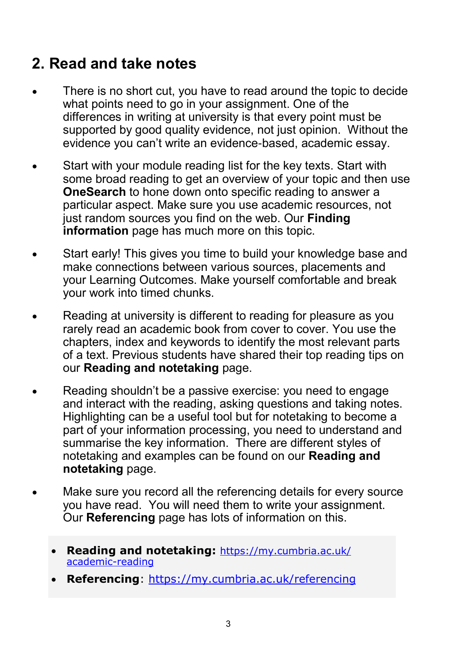#### **2. Read and take notes**

- There is no short cut, you have to read around the topic to decide what points need to go in your assignment. One of the differences in writing at university is that every point must be supported by good quality evidence, not just opinion. Without the evidence you can't write an evidence-based, academic essay.
- Start with your module reading list for the key texts. Start with some broad reading to get an overview of your topic and then use **OneSearch** to hone down onto specific reading to answer a particular aspect. Make sure you use academic resources, not just random sources you find on the web. Our **Finding information** page has much more on this topic.
- Start early! This gives you time to build your knowledge base and make connections between various sources, placements and your Learning Outcomes. Make yourself comfortable and break your work into timed chunks.
- Reading at university is different to reading for pleasure as you rarely read an academic book from cover to cover. You use the chapters, index and keywords to identify the most relevant parts of a text. Previous students have shared their top reading tips on our **Reading and notetaking** page.
- Reading shouldn't be a passive exercise: you need to engage and interact with the reading, asking questions and taking notes. Highlighting can be a useful tool but for notetaking to become a part of your information processing, you need to understand and summarise the key information. There are different styles of notetaking and examples can be found on our **Reading and notetaking** page.
- Make sure you record all the referencing details for every source you have read. You will need them to write your assignment. Our **Referencing** page has lots of information on this.
	- **Reading and notetaking:** [https://my.cumbria.ac.uk/](https://my.cumbria.ac.uk/academic-reading) [academic](https://my.cumbria.ac.uk/academic-reading)-reading
	- **Referencing**: <https://my.cumbria.ac.uk/referencing>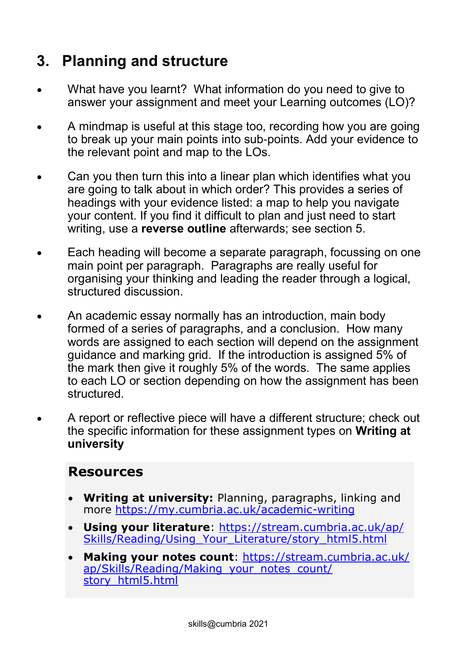#### **3. Planning and structure**

- What have you learnt? What information do you need to give to answer your assignment and meet your Learning outcomes (LO)?
- A mindmap is useful at this stage too, recording how you are going to break up your main points into sub-points. Add your evidence to the relevant point and map to the LOs.
- Can you then turn this into a linear plan which identifies what you are going to talk about in which order? This provides a series of headings with your evidence listed: a map to help you navigate your content. If you find it difficult to plan and just need to start writing, use a **reverse outline** afterwards; see section 5.
- Each heading will become a separate paragraph, focussing on one main point per paragraph. Paragraphs are really useful for organising your thinking and leading the reader through a logical, structured discussion.
- An academic essay normally has an introduction, main body formed of a series of paragraphs, and a conclusion. How many words are assigned to each section will depend on the assignment guidance and marking grid. If the introduction is assigned 5% of the mark then give it roughly 5% of the words. The same applies to each LO or section depending on how the assignment has been structured.
- A report or reflective piece will have a different structure; check out the specific information for these assignment types on **Writing at university**

#### **Resources**

- **Writing at university:** Planning, paragraphs, linking and more [https://my.cumbria.ac.uk/academic](https://my.cumbria.ac.uk/academic-writing)-writing
- **Using your literature**: [https://stream.cumbria.ac.uk/ap/](https://stream.cumbria.ac.uk/ap/Skills/Reading/Using_Your_Literature/story_html5.html) [Skills/Reading/Using\\_Your\\_Literature/story\\_html5.html](https://stream.cumbria.ac.uk/ap/Skills/Reading/Using_Your_Literature/story_html5.html)
- **Making your notes count**: [https://stream.cumbria.ac.uk/](https://stream.cumbria.ac.uk/ap/Skills/Reading/Making_your_notes_count/story_html5.html) [ap/Skills/Reading/Making\\_your\\_notes\\_count/](https://stream.cumbria.ac.uk/ap/Skills/Reading/Making_your_notes_count/story_html5.html) [story\\_html5.html](https://stream.cumbria.ac.uk/ap/Skills/Reading/Making_your_notes_count/story_html5.html)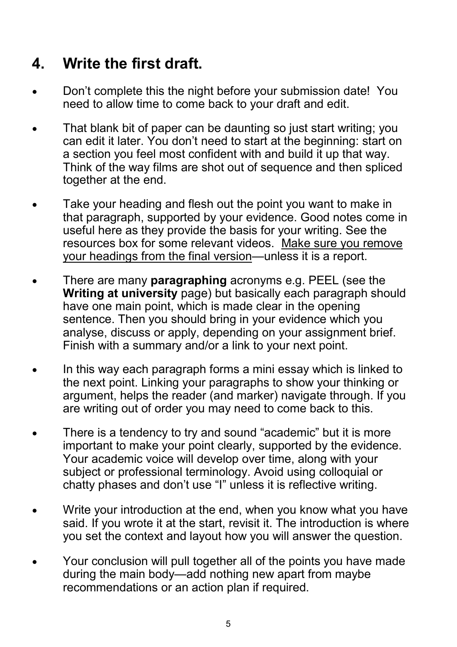### **4. Write the first draft.**

- Don't complete this the night before your submission date! You need to allow time to come back to your draft and edit.
- That blank bit of paper can be daunting so just start writing; you can edit it later. You don't need to start at the beginning: start on a section you feel most confident with and build it up that way. Think of the way films are shot out of sequence and then spliced together at the end.
- Take your heading and flesh out the point you want to make in that paragraph, supported by your evidence. Good notes come in useful here as they provide the basis for your writing. See the resources box for some relevant videos. Make sure you remove your headings from the final version—unless it is a report.
- There are many **paragraphing** acronyms e.g. PEEL (see the **Writing at university** page) but basically each paragraph should have one main point, which is made clear in the opening sentence. Then you should bring in your evidence which you analyse, discuss or apply, depending on your assignment brief. Finish with a summary and/or a link to your next point.
- In this way each paragraph forms a mini essay which is linked to the next point. Linking your paragraphs to show your thinking or argument, helps the reader (and marker) navigate through. If you are writing out of order you may need to come back to this.
- There is a tendency to try and sound "academic" but it is more important to make your point clearly, supported by the evidence. Your academic voice will develop over time, along with your subject or professional terminology. Avoid using colloquial or chatty phases and don't use "I" unless it is reflective writing.
- Write your introduction at the end, when you know what you have said. If you wrote it at the start, revisit it. The introduction is where you set the context and layout how you will answer the question.
- Your conclusion will pull together all of the points you have made during the main body—add nothing new apart from maybe recommendations or an action plan if required.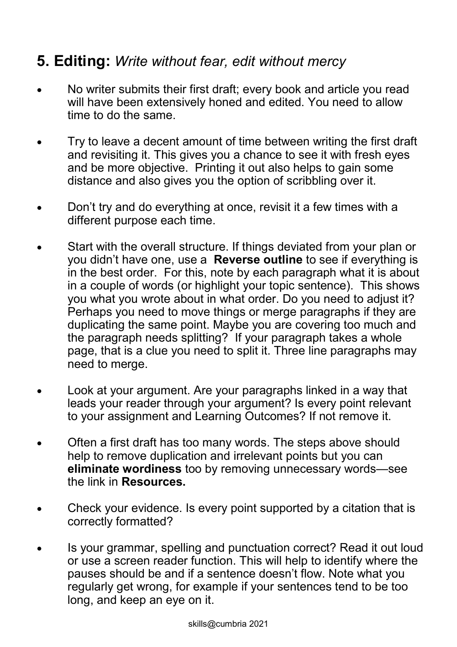#### **5. Editing:** *Write without fear, edit without mercy*

- No writer submits their first draft; every book and article you read will have been extensively honed and edited. You need to allow time to do the same.
- Try to leave a decent amount of time between writing the first draft and revisiting it. This gives you a chance to see it with fresh eyes and be more objective. Printing it out also helps to gain some distance and also gives you the option of scribbling over it.
- Don't try and do everything at once, revisit it a few times with a different purpose each time.
- Start with the overall structure. If things deviated from your plan or you didn't have one, use a **Reverse outline** to see if everything is in the best order. For this, note by each paragraph what it is about in a couple of words (or highlight your topic sentence). This shows you what you wrote about in what order. Do you need to adjust it? Perhaps you need to move things or merge paragraphs if they are duplicating the same point. Maybe you are covering too much and the paragraph needs splitting? If your paragraph takes a whole page, that is a clue you need to split it. Three line paragraphs may need to merge.
- Look at your argument. Are your paragraphs linked in a way that leads your reader through your argument? Is every point relevant to your assignment and Learning Outcomes? If not remove it.
- Often a first draft has too many words. The steps above should help to remove duplication and irrelevant points but you can **eliminate wordiness** too by removing unnecessary words—see the link in **Resources.**
- Check your evidence. Is every point supported by a citation that is correctly formatted?
- Is your grammar, spelling and punctuation correct? Read it out loud or use a screen reader function. This will help to identify where the pauses should be and if a sentence doesn't flow. Note what you regularly get wrong, for example if your sentences tend to be too long, and keep an eye on it.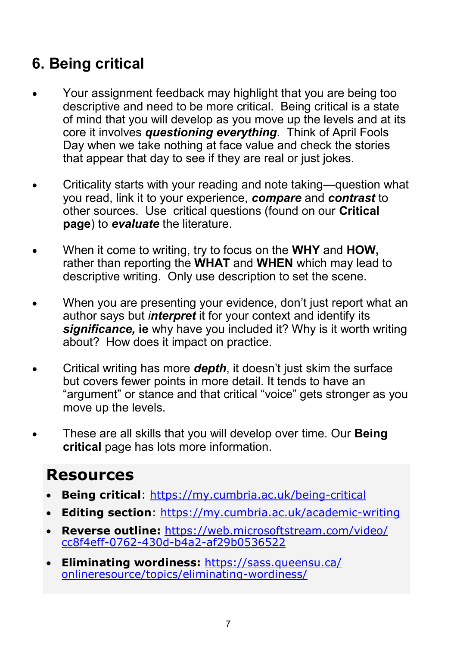## **6. Being critical**

- Your assignment feedback may highlight that you are being too descriptive and need to be more critical. Being critical is a state of mind that you will develop as you move up the levels and at its core it involves *questioning everything*. Think of April Fools Day when we take nothing at face value and check the stories that appear that day to see if they are real or just jokes.
- Criticality starts with your reading and note taking—question what you read, link it to your experience, *compare* and *contrast* to other sources. Use critical questions (found on our **Critical page**) to *evaluate* the literature.
- When it come to writing, try to focus on the **WHY** and **HOW,** rather than reporting the **WHAT** and **WHEN** which may lead to descriptive writing. Only use description to set the scene.
- When you are presenting your evidence, don't just report what an author says but *interpret* it for your context and identify its *significance,* **ie** why have you included it? Why is it worth writing about? How does it impact on practice.
- Critical writing has more *depth*, it doesn't just skim the surface but covers fewer points in more detail. It tends to have an "argument" or stance and that critical "voice" gets stronger as you move up the levels.
- These are all skills that you will develop over time. Our **Being critical** page has lots more information.

### **Resources**

- **Being critical**: [https://my.cumbria.ac.uk/being](https://my.cumbria.ac.uk/being-critical)-critical
- **Editing section**: [https://my.cumbria.ac.uk/academic](https://my.cumbria.ac.uk/academic-writing)-writing
- **Reverse outline:** [https://web.microsoftstream.com/video/](https://web.microsoftstream.com/video/cc8f4eff-0762-430d-b4a2-af29b0536522) cc8f4eff-0762-430d-b4a2-[af29b0536522](https://web.microsoftstream.com/video/cc8f4eff-0762-430d-b4a2-af29b0536522)
- **Eliminating wordiness:** [https://sass.queensu.ca/](https://sass.queensu.ca/onlineresource/topics/eliminating-wordiness/) [onlineresource/topics/eliminating](https://sass.queensu.ca/onlineresource/topics/eliminating-wordiness/)-wordiness/